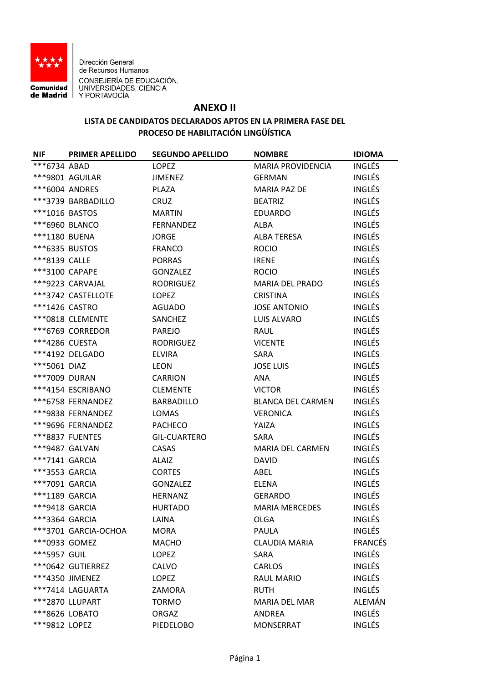

Dirección General de Recursos Humanos **CONSEJERÍA DE EDUCACIÓN,<br>Comunidad UNIVERSIDADES, CIENCIA<br>de Madrid Y PORTAVOCÍA** 

## **ANEXO II**

## **LISTA DE CANDIDATOS DECLARADOS APTOS EN LA PRIMERA FASE DEL PROCESO DE HABILITACIÓN LINGÜÍSTICA**

| <b>NIF</b>     | <b>PRIMER APELLIDO</b> | <b>SEGUNDO APELLIDO</b> | <b>NOMBRE</b>            | <b>IDIOMA</b>  |
|----------------|------------------------|-------------------------|--------------------------|----------------|
| $***6734$ ABAD |                        | <b>LOPEZ</b>            | <b>MARIA PROVIDENCIA</b> | <b>INGLÉS</b>  |
|                | ***9801 AGUILAR        | JIMENEZ                 | <b>GERMAN</b>            | <b>INGLÉS</b>  |
|                | ***6004 ANDRES         | PLAZA                   | <b>MARIA PAZ DE</b>      | <b>INGLÉS</b>  |
|                | ***3739 BARBADILLO     | <b>CRUZ</b>             | <b>BEATRIZ</b>           | <b>INGLÉS</b>  |
| ***1016 BASTOS |                        | <b>MARTIN</b>           | EDUARDO                  | <b>INGLÉS</b>  |
|                | ***6960 BLANCO         | FERNANDEZ               | <b>ALBA</b>              | <b>INGLÉS</b>  |
| ***1180 BUENA  |                        | <b>JORGE</b>            | <b>ALBA TERESA</b>       | <b>INGLÉS</b>  |
| ***6335 BUSTOS |                        | <b>FRANCO</b>           | <b>ROCIO</b>             | <b>INGLÉS</b>  |
| ***8139 CALLE  |                        | <b>PORRAS</b>           | <b>IRENE</b>             | <b>INGLÉS</b>  |
| ***3100 CAPAPE |                        | GONZALEZ                | <b>ROCIO</b>             | <b>INGLÉS</b>  |
|                | ***9223 CARVAJAL       | RODRIGUEZ               | <b>MARIA DEL PRADO</b>   | <b>INGLÉS</b>  |
|                | ***3742 CASTELLOTE     | <b>LOPEZ</b>            | <b>CRISTINA</b>          | <b>INGLÉS</b>  |
| ***1426 CASTRO |                        | <b>AGUADO</b>           | <b>JOSE ANTONIO</b>      | <b>INGLÉS</b>  |
|                | *** 0818 CLEMENTE      | SANCHEZ                 | <b>LUIS ALVARO</b>       | <b>INGLÉS</b>  |
|                | ***6769 CORREDOR       | <b>PAREJO</b>           | <b>RAUL</b>              | <b>INGLÉS</b>  |
| ***4286 CUESTA |                        | <b>RODRIGUEZ</b>        | <b>VICENTE</b>           | <b>INGLÉS</b>  |
|                | ***4192 DELGADO        | <b>ELVIRA</b>           | SARA                     | <b>INGLÉS</b>  |
| ***5061 DIAZ   |                        | <b>LEON</b>             | <b>JOSE LUIS</b>         | <b>INGLÉS</b>  |
| ***7009 DURAN  |                        | <b>CARRION</b>          | ANA                      | <b>INGLÉS</b>  |
|                | ***4154 ESCRIBANO      | <b>CLEMENTE</b>         | <b>VICTOR</b>            | <b>INGLÉS</b>  |
|                | ***6758 FERNANDEZ      | <b>BARBADILLO</b>       | <b>BLANCA DEL CARMEN</b> | <b>INGLÉS</b>  |
|                | ***9838 FERNANDEZ      | <b>LOMAS</b>            | <b>VERONICA</b>          | <b>INGLÉS</b>  |
|                | ***9696 FERNANDEZ      | <b>PACHECO</b>          | YAIZA                    | <b>INGLÉS</b>  |
|                | ***8837 FUENTES        | <b>GIL-CUARTERO</b>     | SARA                     | <b>INGLÉS</b>  |
|                | ***9487 GALVAN         | CASAS                   | <b>MARIA DEL CARMEN</b>  | <b>INGLÉS</b>  |
| ***7141 GARCIA |                        | <b>ALAIZ</b>            | <b>DAVID</b>             | <b>INGLÉS</b>  |
| ***3553 GARCIA |                        | <b>CORTES</b>           | ABEL                     | <b>INGLÉS</b>  |
| ***7091 GARCIA |                        | GONZALEZ                | ELENA                    | <b>INGLÉS</b>  |
| ***1189 GARCIA |                        | <b>HERNANZ</b>          | <b>GERARDO</b>           | <b>INGLÉS</b>  |
| ***9418 GARCIA |                        | <b>HURTADO</b>          | <b>MARIA MERCEDES</b>    | <b>INGLÉS</b>  |
| ***3364 GARCIA |                        | LAINA                   | <b>OLGA</b>              | <b>INGLÉS</b>  |
|                | ***3701 GARCIA-OCHOA   | <b>MORA</b>             | <b>PAULA</b>             | <b>INGLÉS</b>  |
| *** 0933 GOMEZ |                        | <b>MACHO</b>            | <b>CLAUDIA MARIA</b>     | <b>FRANCÉS</b> |
| ***5957 GUIL   |                        | <b>LOPEZ</b>            | SARA                     | <b>INGLÉS</b>  |
|                | *** 0642 GUTIERREZ     | CALVO                   | <b>CARLOS</b>            | <b>INGLÉS</b>  |
|                | ***4350 JIMENEZ        | <b>LOPEZ</b>            | <b>RAUL MARIO</b>        | <b>INGLÉS</b>  |
|                | ***7414 LAGUARTA       | ZAMORA                  | <b>RUTH</b>              | <b>INGLÉS</b>  |
|                | ***2870 LLUPART        | <b>TORMO</b>            | <b>MARIA DEL MAR</b>     | ALEMÁN         |
| ***8626 LOBATO |                        | ORGAZ                   | ANDREA                   | <b>INGLÉS</b>  |
| ***9812 LOPEZ  |                        | <b>PIEDELOBO</b>        | <b>MONSERRAT</b>         | INGLÉS         |